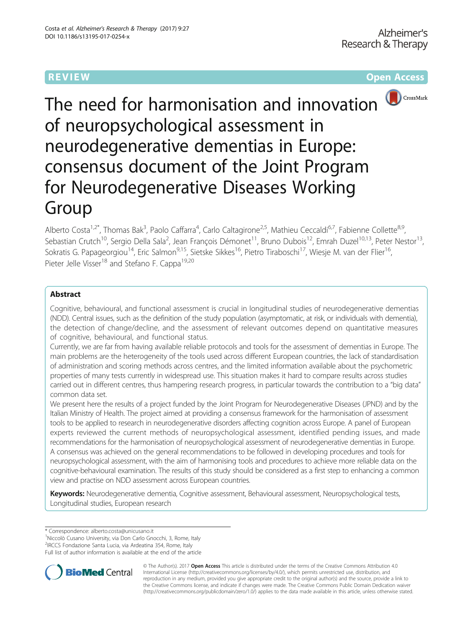# **REVIEW CONSIDERING CONSIDERING CONSIDERING CONSIDERING CONSIDERING CONSIDERING CONSIDERING CONSIDERING CONSIDERING CONSIDERING CONSIDERING CONSIDERING CONSIDERING CONSIDERING CONSIDERING CONSIDERING CONSIDERING CONSIDER**



# The need for harmonisation and innovation of neuropsychological assessment in neurodegenerative dementias in Europe: consensus document of the Joint Program for Neurodegenerative Diseases Working Group

Alberto Costa<sup>1,2\*</sup>, Thomas Bak<sup>3</sup>, Paolo Caffarra<sup>4</sup>, Carlo Caltagirone<sup>2,5</sup>, Mathieu Ceccaldi<sup>6,7</sup>, Fabienne Collette<sup>8,9</sup>, Sebastian Crutch<sup>10</sup>, Sergio Della Sala<sup>2</sup>, Jean François Démonet<sup>11</sup>, Bruno Dubois<sup>12</sup>, Emrah Duzel<sup>10,13</sup>, Peter Nestor<sup>13</sup>, Sokratis G. Papageorgiou<sup>14</sup>, Eric Salmon<sup>9,15</sup>, Sietske Sikkes<sup>16</sup>, Pietro Tiraboschi<sup>17</sup>, Wiesje M. van der Flier<sup>16</sup>, Pieter Jelle Visser<sup>18</sup> and Stefano F. Cappa<sup>19,20</sup>

# Abstract

Cognitive, behavioural, and functional assessment is crucial in longitudinal studies of neurodegenerative dementias (NDD). Central issues, such as the definition of the study population (asymptomatic, at risk, or individuals with dementia), the detection of change/decline, and the assessment of relevant outcomes depend on quantitative measures of cognitive, behavioural, and functional status.

Currently, we are far from having available reliable protocols and tools for the assessment of dementias in Europe. The main problems are the heterogeneity of the tools used across different European countries, the lack of standardisation of administration and scoring methods across centres, and the limited information available about the psychometric properties of many tests currently in widespread use. This situation makes it hard to compare results across studies carried out in different centres, thus hampering research progress, in particular towards the contribution to a "big data" common data set.

We present here the results of a project funded by the Joint Program for Neurodegenerative Diseases (JPND) and by the Italian Ministry of Health. The project aimed at providing a consensus framework for the harmonisation of assessment tools to be applied to research in neurodegenerative disorders affecting cognition across Europe. A panel of European experts reviewed the current methods of neuropsychological assessment, identified pending issues, and made recommendations for the harmonisation of neuropsychological assessment of neurodegenerative dementias in Europe. A consensus was achieved on the general recommendations to be followed in developing procedures and tools for neuropsychological assessment, with the aim of harmonising tools and procedures to achieve more reliable data on the cognitive-behavioural examination. The results of this study should be considered as a first step to enhancing a common view and practise on NDD assessment across European countries.

Keywords: Neurodegenerative dementia, Cognitive assessment, Behavioural assessment, Neuropsychological tests, Longitudinal studies, European research

\* Correspondence: [alberto.costa@unicusano.it](mailto:alberto.costa@unicusano.it) <sup>1</sup>

<sup>1</sup>Niccolò Cusano University, via Don Carlo Gnocchi, 3, Rome, Italy 2 IRCCS Fondazione Santa Lucia, via Ardeatina 354, Rome, Italy

Full list of author information is available at the end of the article



© The Author(s). 2017 **Open Access** This article is distributed under the terms of the Creative Commons Attribution 4.0 International License [\(http://creativecommons.org/licenses/by/4.0/](http://creativecommons.org/licenses/by/4.0/)), which permits unrestricted use, distribution, and reproduction in any medium, provided you give appropriate credit to the original author(s) and the source, provide a link to the Creative Commons license, and indicate if changes were made. The Creative Commons Public Domain Dedication waiver [\(http://creativecommons.org/publicdomain/zero/1.0/](http://creativecommons.org/publicdomain/zero/1.0/)) applies to the data made available in this article, unless otherwise stated.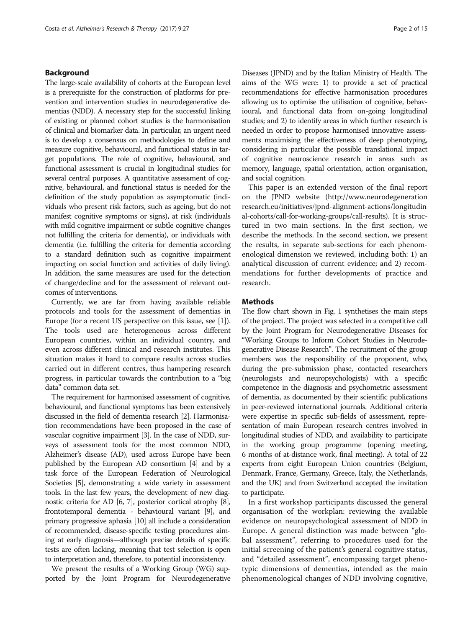# Background

The large-scale availability of cohorts at the European level is a prerequisite for the construction of platforms for prevention and intervention studies in neurodegenerative dementias (NDD). A necessary step for the successful linking of existing or planned cohort studies is the harmonisation of clinical and biomarker data. In particular, an urgent need is to develop a consensus on methodologies to define and measure cognitive, behavioural, and functional status in target populations. The role of cognitive, behavioural, and functional assessment is crucial in longitudinal studies for several central purposes. A quantitative assessment of cognitive, behavioural, and functional status is needed for the definition of the study population as asymptomatic (individuals who present risk factors, such as ageing, but do not manifest cognitive symptoms or signs), at risk (individuals with mild cognitive impairment or subtle cognitive changes not fulfilling the criteria for dementia), or individuals with dementia (i.e. fulfilling the criteria for dementia according to a standard definition such as cognitive impairment impacting on social function and activities of daily living). In addition, the same measures are used for the detection of change/decline and for the assessment of relevant outcomes of interventions.

Currently, we are far from having available reliable protocols and tools for the assessment of dementias in Europe (for a recent US perspective on this issue, see [\[1](#page-12-0)]). The tools used are heterogeneous across different European countries, within an individual country, and even across different clinical and research institutes. This situation makes it hard to compare results across studies carried out in different centres, thus hampering research progress, in particular towards the contribution to a "big data" common data set.

The requirement for harmonised assessment of cognitive, behavioural, and functional symptoms has been extensively discussed in the field of dementia research [\[2\]](#page-12-0). Harmonisation recommendations have been proposed in the case of vascular cognitive impairment [[3](#page-12-0)]. In the case of NDD, surveys of assessment tools for the most common NDD, Alzheimer's disease (AD), used across Europe have been published by the European AD consortium [[4](#page-12-0)] and by a task force of the European Federation of Neurological Societies [[5\]](#page-12-0), demonstrating a wide variety in assessment tools. In the last few years, the development of new diagnostic criteria for AD [[6](#page-12-0), [7\]](#page-12-0), posterior cortical atrophy [[8](#page-12-0)], frontotemporal dementia - behavioural variant [\[9](#page-12-0)], and primary progressive aphasia [[10](#page-12-0)] all include a consideration of recommended, disease-specific testing procedures aiming at early diagnosis—although precise details of specific tests are often lacking, meaning that test selection is open to interpretation and, therefore, to potential inconsistency.

We present the results of a Working Group (WG) supported by the Joint Program for Neurodegenerative Diseases (JPND) and by the Italian Ministry of Health. The aims of the WG were: 1) to provide a set of practical recommendations for effective harmonisation procedures allowing us to optimise the utilisation of cognitive, behavioural, and functional data from on-going longitudinal studies; and 2) to identify areas in which further research is needed in order to propose harmonised innovative assessments maximising the effectiveness of deep phenotyping, considering in particular the possible translational impact of cognitive neuroscience research in areas such as memory, language, spatial orientation, action organisation, and social cognition.

This paper is an extended version of the final report on the JPND website ([http://www.neurodegeneration](http://www.neurodegenerationresearch.eu/initiatives/jpnd-alignment-actions/longitudinal-cohorts/call-for-working-groups/call-results) [research.eu/initiatives/jpnd-alignment-actions/longitudin](http://www.neurodegenerationresearch.eu/initiatives/jpnd-alignment-actions/longitudinal-cohorts/call-for-working-groups/call-results) [al-cohorts/call-for-working-groups/call-results\)](http://www.neurodegenerationresearch.eu/initiatives/jpnd-alignment-actions/longitudinal-cohorts/call-for-working-groups/call-results). It is structured in two main sections. In the first section, we describe the methods. In the second section, we present the results, in separate sub-sections for each phenomenological dimension we reviewed, including both: 1) an analytical discussion of current evidence; and 2) recommendations for further developments of practice and research.

# **Methods**

The flow chart shown in Fig. [1](#page-3-0) synthetises the main steps of the project. The project was selected in a competitive call by the Joint Program for Neurodegenerative Diseases for "Working Groups to Inform Cohort Studies in Neurodegenerative Disease Research". The recruitment of the group members was the responsibility of the proponent, who, during the pre-submission phase, contacted researchers (neurologists and neuropsychologists) with a specific competence in the diagnosis and psychometric assessment of dementia, as documented by their scientific publications in peer-reviewed international journals. Additional criteria were expertise in specific sub-fields of assessment, representation of main European research centres involved in longitudinal studies of NDD, and availability to participate in the working group programme (opening meeting, 6 months of at-distance work, final meeting). A total of 22 experts from eight European Union countries (Belgium, Denmark, France, Germany, Greece, Italy, the Netherlands, and the UK) and from Switzerland accepted the invitation to participate.

In a first workshop participants discussed the general organisation of the workplan: reviewing the available evidence on neuropsychological assessment of NDD in Europe. A general distinction was made between "global assessment", referring to procedures used for the initial screening of the patient's general cognitive status, and "detailed assessment", encompassing target phenotypic dimensions of dementias, intended as the main phenomenological changes of NDD involving cognitive,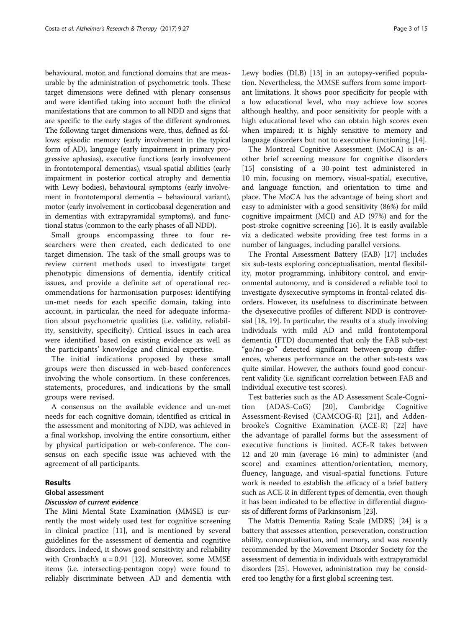behavioural, motor, and functional domains that are measurable by the administration of psychometric tools. These target dimensions were defined with plenary consensus and were identified taking into account both the clinical manifestations that are common to all NDD and signs that are specific to the early stages of the different syndromes. The following target dimensions were, thus, defined as follows: episodic memory (early involvement in the typical form of AD), language (early impairment in primary progressive aphasias), executive functions (early involvement in frontotemporal dementias), visual-spatial abilities (early impairment in posterior cortical atrophy and dementia with Lewy bodies), behavioural symptoms (early involvement in frontotemporal dementia – behavioural variant), motor (early involvement in corticobasal degeneration and in dementias with extrapyramidal symptoms), and functional status (common to the early phases of all NDD).

Small groups encompassing three to four researchers were then created, each dedicated to one target dimension. The task of the small groups was to review current methods used to investigate target phenotypic dimensions of dementia, identify critical issues, and provide a definite set of operational recommendations for harmonisation purposes: identifying un-met needs for each specific domain, taking into account, in particular, the need for adequate information about psychometric qualities (i.e. validity, reliability, sensitivity, specificity). Critical issues in each area were identified based on existing evidence as well as the participants' knowledge and clinical expertise.

The initial indications proposed by these small groups were then discussed in web-based conferences involving the whole consortium. In these conferences, statements, procedures, and indications by the small groups were revised.

A consensus on the available evidence and un-met needs for each cognitive domain, identified as critical in the assessment and monitoring of NDD, was achieved in a final workshop, involving the entire consortium, either by physical participation or web-conference. The consensus on each specific issue was achieved with the agreement of all participants.

# Results

# Global assessment

# Discussion of current evidence

The Mini Mental State Examination (MMSE) is currently the most widely used test for cognitive screening in clinical practice [\[11](#page-12-0)], and is mentioned by several guidelines for the assessment of dementia and cognitive disorders. Indeed, it shows good sensitivity and reliability with Cronbach's  $\alpha = 0.91$  [\[12\]](#page-12-0). Moreover, some MMSE items (i.e. intersecting-pentagon copy) were found to reliably discriminate between AD and dementia with Lewy bodies (DLB) [\[13](#page-12-0)] in an autopsy-verified population. Nevertheless, the MMSE suffers from some important limitations. It shows poor specificity for people with a low educational level, who may achieve low scores although healthy, and poor sensitivity for people with a high educational level who can obtain high scores even when impaired; it is highly sensitive to memory and language disorders but not to executive functioning [\[14](#page-12-0)].

The Montreal Cognitive Assessment (MoCA) is another brief screening measure for cognitive disorders [[15\]](#page-12-0) consisting of a 30-point test administered in 10 min, focusing on memory, visual-spatial, executive, and language function, and orientation to time and place. The MoCA has the advantage of being short and easy to administer with a good sensitivity (86%) for mild cognitive impairment (MCI) and AD (97%) and for the post-stroke cognitive screening [[16\]](#page-12-0). It is easily available via a dedicated website providing free test forms in a number of languages, including parallel versions.

The Frontal Assessment Battery (FAB) [[17\]](#page-12-0) includes six sub-tests exploring conceptualisation, mental flexibility, motor programming, inhibitory control, and environmental autonomy, and is considered a reliable tool to investigate dysexecutive symptoms in frontal-related disorders. However, its usefulness to discriminate between the dysexecutive profiles of different NDD is controversial [\[18, 19\]](#page-12-0). In particular, the results of a study involving individuals with mild AD and mild frontotemporal dementia (FTD) documented that only the FAB sub-test "go/no-go" detected significant between-group differences, whereas performance on the other sub-tests was quite similar. However, the authors found good concurrent validity (i.e. significant correlation between FAB and individual executive test scores).

Test batteries such as the AD Assessment Scale-Cognition (ADAS-CoG) [\[20](#page-12-0)], Cambridge Cognitive Assessment-Revised (CAMCOG-R) [[21\]](#page-12-0), and Addenbrooke's Cognitive Examination (ACE-R) [\[22](#page-12-0)] have the advantage of parallel forms but the assessment of executive functions is limited. ACE-R takes between 12 and 20 min (average 16 min) to administer (and score) and examines attention/orientation, memory, fluency, language, and visual-spatial functions. Future work is needed to establish the efficacy of a brief battery such as ACE-R in different types of dementia, even though it has been indicated to be effective in differential diagnosis of different forms of Parkinsonism [\[23\]](#page-12-0).

The Mattis Dementia Rating Scale (MDRS) [\[24](#page-12-0)] is a battery that assesses attention, perseveration, construction ability, conceptualisation, and memory, and was recently recommended by the Movement Disorder Society for the assessment of dementia in individuals with extrapyramidal disorders [\[25\]](#page-12-0). However, administration may be considered too lengthy for a first global screening test.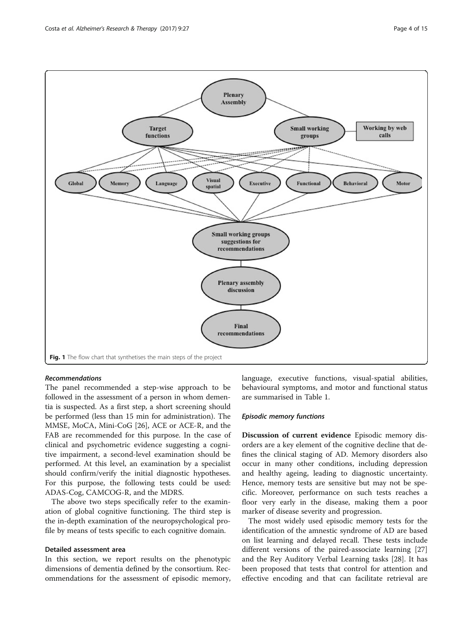<span id="page-3-0"></span>

#### Recommendations

The panel recommended a step-wise approach to be followed in the assessment of a person in whom dementia is suspected. As a first step, a short screening should be performed (less than 15 min for administration). The MMSE, MoCA, Mini-CoG [\[26\]](#page-12-0), ACE or ACE-R, and the FAB are recommended for this purpose. In the case of clinical and psychometric evidence suggesting a cognitive impairment, a second-level examination should be performed. At this level, an examination by a specialist should confirm/verify the initial diagnostic hypotheses. For this purpose, the following tests could be used: ADAS-Cog, CAMCOG-R, and the MDRS.

The above two steps specifically refer to the examination of global cognitive functioning. The third step is the in-depth examination of the neuropsychological profile by means of tests specific to each cognitive domain.

# Detailed assessment area

In this section, we report results on the phenotypic dimensions of dementia defined by the consortium. Recommendations for the assessment of episodic memory, language, executive functions, visual-spatial abilities, behavioural symptoms, and motor and functional status are summarised in Table [1](#page-4-0).

## Episodic memory functions

Discussion of current evidence Episodic memory disorders are a key element of the cognitive decline that defines the clinical staging of AD. Memory disorders also occur in many other conditions, including depression and healthy ageing, leading to diagnostic uncertainty. Hence, memory tests are sensitive but may not be specific. Moreover, performance on such tests reaches a floor very early in the disease, making them a poor marker of disease severity and progression.

The most widely used episodic memory tests for the identification of the amnestic syndrome of AD are based on list learning and delayed recall. These tests include different versions of the paired-associate learning [[27](#page-12-0)] and the Rey Auditory Verbal Learning tasks [\[28\]](#page-12-0). It has been proposed that tests that control for attention and effective encoding and that can facilitate retrieval are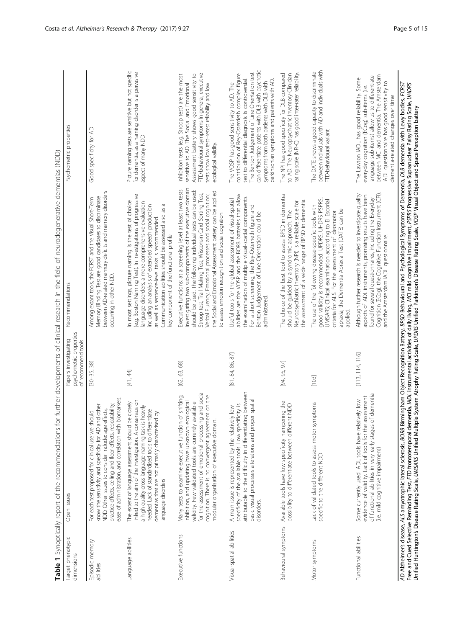<span id="page-4-0"></span>

| Target phenotypic            | Table 1 Synoptically report of the recommendations<br>Open issues                                                                                                                                                                                                                                                                 | Papers investigating                          | for further developments of clinical research in the field of neurodegenerative dementias (NDD)<br>Recommendations                                                                                                                                                                                                                                                                                                                       | Psychometric properties                                                                                                                                                                                                                                                                                                                         |
|------------------------------|-----------------------------------------------------------------------------------------------------------------------------------------------------------------------------------------------------------------------------------------------------------------------------------------------------------------------------------|-----------------------------------------------|------------------------------------------------------------------------------------------------------------------------------------------------------------------------------------------------------------------------------------------------------------------------------------------------------------------------------------------------------------------------------------------------------------------------------------------|-------------------------------------------------------------------------------------------------------------------------------------------------------------------------------------------------------------------------------------------------------------------------------------------------------------------------------------------------|
| dimensions                   |                                                                                                                                                                                                                                                                                                                                   | psychometric properties<br>of recommend tools |                                                                                                                                                                                                                                                                                                                                                                                                                                          |                                                                                                                                                                                                                                                                                                                                                 |
| Episodic memory<br>abilities | ease of administration, and correlation with biomarkers.<br>practice effects, ceiling and floor effects, repeatability,<br>know the sensitivity and specificity for AD and other<br>NDD. Other issues to consider include: age effects,<br>For each test proposed for clinical use we should                                      | $[30 - 35, 38]$                               | between AD-related memory deficits and memory disorders<br>Memory Binding Test are good candidates to discriminate<br>Among extant tools, the FCRST and the Visual Short-Term<br>occurring in other NDD.                                                                                                                                                                                                                                 | Good specificity for AD                                                                                                                                                                                                                                                                                                                         |
| Language abilities           | linked to the aim of the investigation. A consensus on<br>be closely<br>a high-quality cross-language naming task is heavily<br>needed. Lack of standardised tools to differentiate<br>dementias that are not primarily characterised by<br>The extent of language assessment should<br>language disorders                        | [41, 44]                                      | (e.g. Boston Naming Test). In investigations of progressive<br>In most settings, picture naming is the test of choice<br>language disorders, a more comprehensive evaluation<br>G<br>including an analysis of extended speech production<br>Communication abilities should be assessed also as<br>as well as sentence-level tasks is recommended<br>key component of the functional profile                                              | Picture naming tests are sensitive but not specific<br>for dementia, as a naming disorder is a pervasive<br>aspect of many NDD                                                                                                                                                                                                                  |
| Executive functions          | for the assessment of emotional processing and social<br>cognition. There is no convergent agreement on the<br>Many tests to examine executive function of shifting,<br>ecological<br>validity. Few validated tools are currently available<br>modular organisation of executive domain.<br>inhibition, and updating have unknown | [62, 63, 68]                                  | investigating two sub-components of the executive domain<br>Executive functions: at a screening level at least two tests<br>should be used. The following individual tests can be used:<br>the Social and Emotional Assessment battery can be applied<br>Stroop test, Trail Making Test, Wisconsin Card Sorting Test,<br>Verbal Fluency, Emotional processes and social cognition:<br>to assess emotion recognition and social cognition | FTD-behavioural symptoms In general, executive<br>Assessment battery shows good sensitivity to<br>Inhibition tests (e.g. Stroop test) are the most<br>tests show low test-retest reliability and low<br>sensitive to AD. The Social and Emotional<br>ecological validity.                                                                       |
| Visual-spatial abilities     | attributable to the difficulty in differentiating between<br>basic visual processes alterations and proper spatial<br>specificity of the available tools. Low specificity is<br>A main issue is represented by the relatively low<br>disorders.                                                                                   | [81, 84, 86, 87]                              | abilities are the VOSP and the BORB batteries that allow<br>the examination of multiple visual-spatial components.<br>Useful tools for the global assessment of visual-spatial<br>For a short screening, the Rey-Osterrieth figure and<br>Benton Judgement of Line Orientation could be<br>administered.                                                                                                                                 | can differentiate patients with DLB with psychotic<br>The Benton Judgement of Line Orientation test<br>contribution of Rey-Osterrieth complex figure<br>test to differential diagnosis is controversial.<br>parkinsonian symptoms and patients with AD<br>symptoms from both patients with DLB with<br>The VOSP has good sensitivity to AD. The |
| Behavioural symptoms         | Available tools have low specificity hampering the<br>possibility to differentiate between different NDD                                                                                                                                                                                                                          | [94, 95, 97]                                  | The choice of the best tool to assess BPSD in dementia<br>the assessment of a wide range of BPSD in dementia.<br>Neuropsychiatric Inventory (NPI) is a reliable scale for<br>should be guided by a syndromic approach. The                                                                                                                                                                                                               | rating scale (NPI-C) has good inter-rater reliability.<br>The NPI has good specificity for DLB compared<br>to AD. The Neuropsychiatric Inventory-Clinician                                                                                                                                                                                      |
| Motor symptoms               | Lack of validated tools to assess motor symptoms<br>specific to the different NDD                                                                                                                                                                                                                                                 | [103]                                         | good validity is recommended: UPDRS; UHDRS PSPRS;<br>UMSARS; Clinical examination according to El Escorial<br>The use of the following disease-specific tools with<br>apraxia, the Dementia Apraxia Test (DATE) can be<br>criteria for ALS. For the assessment of ideomotor<br>applied.                                                                                                                                                  | between individuals with AD and individuals with<br>The DATE shows a good capacity to discriminate<br>FTD-behavioural variant                                                                                                                                                                                                                   |
| Functional abilities         | of dementia<br>assessment<br>Some currently used IADL tools have relatively low<br>evidence of validity. Lack of tools for the<br>of functional abilities in very early stages<br>(i.e. mild cognitive impairment)                                                                                                                | [113, 114, 116]                               | Cognition (ECog), the Cognitive Function Instrument (CFI),<br>Although further research is needed to investigate quality<br>aspects of IADL instruments, promising results have been<br>found for several questionnaires, including the Everyday<br>and the Amsterdam IADL questionnaire.                                                                                                                                                | between MCI and dementia. The Amsterdam<br>language sub-items) allow us to differentiate<br>The Lawton IADL has good reliability. Some<br>ADL questionnaire has good sensitivity to<br>everyday cognition (ECog) sub-items (i.e.<br>dementia-related changes over time                                                                          |
|                              | Unified Huntington's Disease Rating Scale, UW3ARS Unified Multiple System Atrophy Rating Scale, UPDRS Unified Parkinson's Disease Rating Scale, VOSP Visual Object and Space Perception battery                                                                                                                                   |                                               | AD Alzheimer's disease, ALS amyotrophic lateral sclerosis, BORB Birmingham Object Recognition Battery, BPSD Behavioural and Psychological Symptoms of Dementia, DLB dementia with Lewy bodies, FCRST<br>Free and Cued Selective Reminding Test, FTD frontotemporal dementia, ADL instrumental activities of daily living, MCI mild cognitive impairment, PSPRS Progressive Supranuclear Palsy Rating Scale, UHDRS                        |                                                                                                                                                                                                                                                                                                                                                 |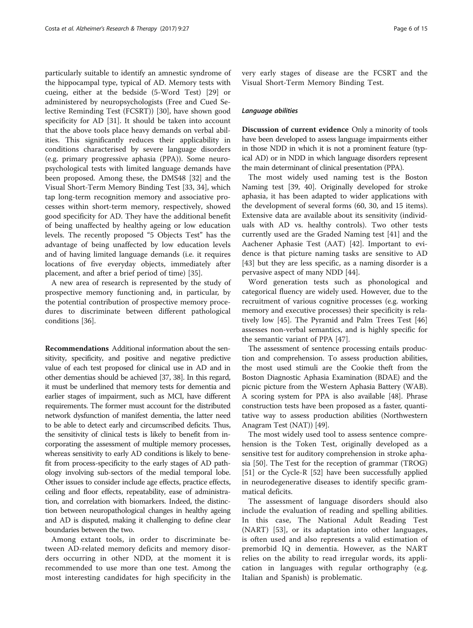particularly suitable to identify an amnestic syndrome of the hippocampal type, typical of AD. Memory tests with cueing, either at the bedside (5-Word Test) [[29\]](#page-12-0) or administered by neuropsychologists (Free and Cued Selective Reminding Test (FCSRT)) [\[30](#page-12-0)], have shown good specificity for AD [[31\]](#page-12-0). It should be taken into account that the above tools place heavy demands on verbal abilities. This significantly reduces their applicability in conditions characterised by severe language disorders (e.g. primary progressive aphasia (PPA)). Some neuropsychological tests with limited language demands have been proposed. Among these, the DMS48 [\[32](#page-12-0)] and the Visual Short-Term Memory Binding Test [[33, 34\]](#page-12-0), which tap long-term recognition memory and associative processes within short-term memory, respectively, showed good specificity for AD. They have the additional benefit of being unaffected by healthy ageing or low education levels. The recently proposed "5 Objects Test" has the advantage of being unaffected by low education levels and of having limited language demands (i.e. it requires locations of five everyday objects, immediately after placement, and after a brief period of time) [[35\]](#page-12-0).

A new area of research is represented by the study of prospective memory functioning and, in particular, by the potential contribution of prospective memory procedures to discriminate between different pathological conditions [[36](#page-12-0)].

Recommendations Additional information about the sensitivity, specificity, and positive and negative predictive value of each test proposed for clinical use in AD and in other dementias should be achieved [[37](#page-13-0), [38\]](#page-13-0). In this regard, it must be underlined that memory tests for dementia and earlier stages of impairment, such as MCI, have different requirements. The former must account for the distributed network dysfunction of manifest dementia, the latter need to be able to detect early and circumscribed deficits. Thus, the sensitivity of clinical tests is likely to benefit from incorporating the assessment of multiple memory processes, whereas sensitivity to early AD conditions is likely to benefit from process-specificity to the early stages of AD pathology involving sub-sectors of the medial temporal lobe. Other issues to consider include age effects, practice effects, ceiling and floor effects, repeatability, ease of administration, and correlation with biomarkers. Indeed, the distinction between neuropathological changes in healthy ageing and AD is disputed, making it challenging to define clear boundaries between the two.

Among extant tools, in order to discriminate between AD-related memory deficits and memory disorders occurring in other NDD, at the moment it is recommended to use more than one test. Among the most interesting candidates for high specificity in the very early stages of disease are the FCSRT and the Visual Short-Term Memory Binding Test.

#### Language abilities

Discussion of current evidence Only a minority of tools have been developed to assess language impairments either in those NDD in which it is not a prominent feature (typical AD) or in NDD in which language disorders represent the main determinant of clinical presentation (PPA).

The most widely used naming test is the Boston Naming test [[39, 40](#page-13-0)]. Originally developed for stroke aphasia, it has been adapted to wider applications with the development of several forms (60, 30, and 15 items). Extensive data are available about its sensitivity (individuals with AD vs. healthy controls). Two other tests currently used are the Graded Naming test [[41\]](#page-13-0) and the Aachener Aphasie Test (AAT) [\[42](#page-13-0)]. Important to evidence is that picture naming tasks are sensitive to AD [[43\]](#page-13-0) but they are less specific, as a naming disorder is a pervasive aspect of many NDD [\[44\]](#page-13-0).

Word generation tests such as phonological and categorical fluency are widely used. However, due to the recruitment of various cognitive processes (e.g. working memory and executive processes) their specificity is relatively low [\[45](#page-13-0)]. The Pyramid and Palm Trees Test [[46](#page-13-0)] assesses non-verbal semantics, and is highly specific for the semantic variant of PPA [[47](#page-13-0)].

The assessment of sentence processing entails production and comprehension. To assess production abilities, the most used stimuli are the Cookie theft from the Boston Diagnostic Aphasia Examination (BDAE) and the picnic picture from the Western Aphasia Battery (WAB). A scoring system for PPA is also available [\[48](#page-13-0)]. Phrase construction tests have been proposed as a faster, quantitative way to assess production abilities (Northwestern Anagram Test (NAT)) [[49](#page-13-0)].

The most widely used tool to assess sentence comprehension is the Token Test, originally developed as a sensitive test for auditory comprehension in stroke aphasia [[50\]](#page-13-0). The Test for the reception of grammar (TROG) [[51\]](#page-13-0) or the Cycle-R [\[52\]](#page-13-0) have been successfully applied in neurodegenerative diseases to identify specific grammatical deficits.

The assessment of language disorders should also include the evaluation of reading and spelling abilities. In this case, The National Adult Reading Test (NART) [[53](#page-13-0)], or its adaptation into other languages, is often used and also represents a valid estimation of premorbid IQ in dementia. However, as the NART relies on the ability to read irregular words, its application in languages with regular orthography (e.g. Italian and Spanish) is problematic.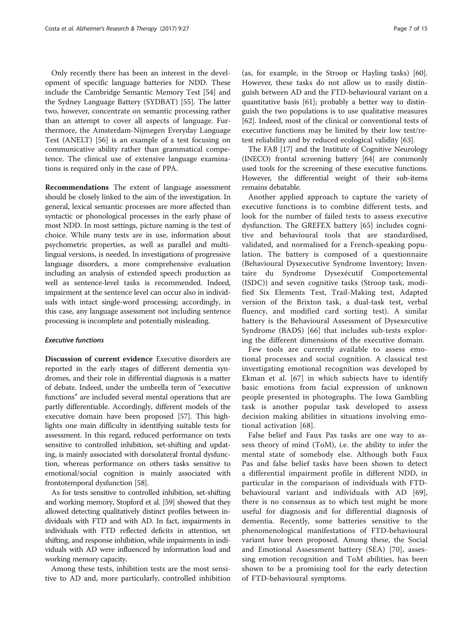Only recently there has been an interest in the development of specific language batteries for NDD. These include the Cambridge Semantic Memory Test [[54\]](#page-13-0) and the Sydney Language Battery (SYDBAT) [[55\]](#page-13-0). The latter two, however, concentrate on semantic processing rather than an attempt to cover all aspects of language. Furthermore, the Amsterdam-Nijmegen Everyday Language Test (ANELT) [\[56](#page-13-0)] is an example of a test focusing on communicative ability rather than grammatical competence. The clinical use of extensive language examinations is required only in the case of PPA.

Recommendations The extent of language assessment should be closely linked to the aim of the investigation. In general, lexical semantic processes are more affected than syntactic or phonological processes in the early phase of most NDD. In most settings, picture naming is the test of choice. While many tests are in use, information about psychometric properties, as well as parallel and multilingual versions, is needed. In investigations of progressive language disorders, a more comprehensive evaluation including an analysis of extended speech production as well as sentence-level tasks is recommended. Indeed, impairment at the sentence level can occur also in individuals with intact single-word processing; accordingly, in this case, any language assessment not including sentence processing is incomplete and potentially misleading.

# Executive functions

Discussion of current evidence Executive disorders are reported in the early stages of different dementia syndromes, and their role in differential diagnosis is a matter of debate. Indeed, under the umbrella term of "executive functions" are included several mental operations that are partly differentiable. Accordingly, different models of the executive domain have been proposed [[57](#page-13-0)]. This highlights one main difficulty in identifying suitable tests for assessment. In this regard, reduced performance on tests sensitive to controlled inhibition, set-shifting and updating, is mainly associated with dorsolateral frontal dysfunction, whereas performance on others tasks sensitive to emotional/social cognition is mainly associated with frontotemporal dysfunction [[58](#page-13-0)].

As for tests sensitive to controlled inhibition, set-shifting and working memory, Stopford et al. [\[59](#page-13-0)] showed that they allowed detecting qualitatively distinct profiles between individuals with FTD and with AD. In fact, impairments in individuals with FTD reflected deficits in attention, set shifting, and response inhibition, while impairments in individuals with AD were influenced by information load and working memory capacity.

Among these tests, inhibition tests are the most sensitive to AD and, more particularly, controlled inhibition

(as, for example, in the Stroop or Hayling tasks) [\[60](#page-13-0)]. However, these tasks do not allow us to easily distinguish between AD and the FTD-behavioural variant on a quantitative basis [\[61](#page-13-0)]; probably a better way to distinguish the two populations is to use qualitative measures [[62\]](#page-13-0). Indeed, most of the clinical or conventional tests of executive functions may be limited by their low test/retest reliability and by reduced ecological validity [[63\]](#page-13-0).

The FAB [\[17\]](#page-12-0) and the Institute of Cognitive Neurology (INECO) frontal screening battery [\[64\]](#page-13-0) are commonly used tools for the screening of these executive functions. However, the differential weight of their sub-items remains debatable.

Another applied approach to capture the variety of executive functions is to combine different tests, and look for the number of failed tests to assess executive dysfunction. The GREFEX battery [[65\]](#page-13-0) includes cognitive and behavioural tools that are standardised, validated, and normalised for a French-speaking population. The battery is composed of a questionnaire (Behavioural Dysexecutive Syndrome Inventory; Inventaire du Syndrome Dysexécutif Comportemental (ISDC)) and seven cognitive tasks (Stroop task, modified Six Elements Test, Trail-Making test, Adapted version of the Brixton task, a dual-task test, verbal fluency, and modified card sorting test). A similar battery is the Behavioural Assessment of Dysexecutive Syndrome (BADS) [[66\]](#page-13-0) that includes sub-tests exploring the different dimensions of the executive domain.

Few tools are currently available to assess emotional processes and social cognition. A classical test investigating emotional recognition was developed by Ekman et al. [\[67](#page-13-0)] in which subjects have to identify basic emotions from facial expression of unknown people presented in photographs. The Iowa Gambling task is another popular task developed to assess decision making abilities in situations involving emotional activation [\[68](#page-13-0)].

False belief and Faux Pas tasks are one way to assess theory of mind (ToM), i.e. the ability to infer the mental state of somebody else. Although both Faux Pas and false belief tasks have been shown to detect a differential impairment profile in different NDD, in particular in the comparison of individuals with FTDbehavioural variant and individuals with AD [\[69](#page-13-0)], there is no consensus as to which test might be more useful for diagnosis and for differential diagnosis of dementia. Recently, some batteries sensitive to the phenomenological manifestations of FTD-behavioural variant have been proposed. Among these, the Social and Emotional Assessment battery (SEA) [[70\]](#page-13-0), assessing emotion recognition and ToM abilities, has been shown to be a promising tool for the early detection of FTD-behavioural symptoms.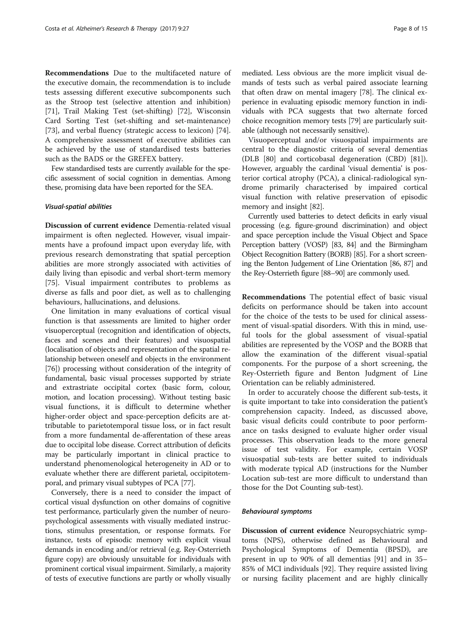Recommendations Due to the multifaceted nature of the executive domain, the recommendation is to include tests assessing different executive subcomponents such as the Stroop test (selective attention and inhibition) [[71\]](#page-13-0), Trail Making Test (set-shifting) [[72](#page-13-0)], Wisconsin Card Sorting Test (set-shifting and set-maintenance) [[73\]](#page-13-0), and verbal fluency (strategic access to lexicon) [\[74](#page-13-0)]. A comprehensive assessment of executive abilities can be achieved by the use of standardised tests batteries such as the BADS or the GREFEX battery.

Few standardised tests are currently available for the specific assessment of social cognition in dementias. Among these, promising data have been reported for the SEA.

# Visual-spatial abilities

Discussion of current evidence Dementia-related visual impairment is often neglected. However, visual impairments have a profound impact upon everyday life, with previous research demonstrating that spatial perception abilities are more strongly associated with activities of daily living than episodic and verbal short-term memory [[75\]](#page-13-0). Visual impairment contributes to problems as diverse as falls and poor diet, as well as to challenging behaviours, hallucinations, and delusions.

One limitation in many evaluations of cortical visual function is that assessments are limited to higher order visuoperceptual (recognition and identification of objects, faces and scenes and their features) and visuospatial (localisation of objects and representation of the spatial relationship between oneself and objects in the environment [[76](#page-13-0)]) processing without consideration of the integrity of fundamental, basic visual processes supported by striate and extrastriate occipital cortex (basic form, colour, motion, and location processing). Without testing basic visual functions, it is difficult to determine whether higher-order object and space-perception deficits are attributable to parietotemporal tissue loss, or in fact result from a more fundamental de-afferentation of these areas due to occipital lobe disease. Correct attribution of deficits may be particularly important in clinical practice to understand phenomenological heterogeneity in AD or to evaluate whether there are different parietal, occipitotemporal, and primary visual subtypes of PCA [\[77\]](#page-13-0).

Conversely, there is a need to consider the impact of cortical visual dysfunction on other domains of cognitive test performance, particularly given the number of neuropsychological assessments with visually mediated instructions, stimulus presentation, or response formats. For instance, tests of episodic memory with explicit visual demands in encoding and/or retrieval (e.g. Rey-Osterrieth figure copy) are obviously unsuitable for individuals with prominent cortical visual impairment. Similarly, a majority of tests of executive functions are partly or wholly visually

mediated. Less obvious are the more implicit visual demands of tests such as verbal paired associate learning that often draw on mental imagery [[78\]](#page-13-0). The clinical experience in evaluating episodic memory function in individuals with PCA suggests that two alternate forced choice recognition memory tests [\[79\]](#page-13-0) are particularly suitable (although not necessarily sensitive).

Visuoperceptual and/or visuospatial impairments are central to the diagnostic criteria of several dementias (DLB [[80\]](#page-13-0) and corticobasal degeneration (CBD) [\[81](#page-13-0)]). However, arguably the cardinal 'visual dementia' is posterior cortical atrophy (PCA), a clinical-radiological syndrome primarily characterised by impaired cortical visual function with relative preservation of episodic memory and insight [\[82](#page-13-0)].

Currently used batteries to detect deficits in early visual processing (e.g. figure-ground discrimination) and object and space perception include the Visual Object and Space Perception battery (VOSP) [[83, 84\]](#page-13-0) and the Birmingham Object Recognition Battery (BORB) [\[85\]](#page-13-0). For a short screening the Benton Judgement of Line Orientation [\[86](#page-13-0), [87\]](#page-13-0) and the Rey-Osterrieth figure [\[88](#page-13-0)–[90\]](#page-13-0) are commonly used.

Recommendations The potential effect of basic visual deficits on performance should be taken into account for the choice of the tests to be used for clinical assessment of visual-spatial disorders. With this in mind, useful tools for the global assessment of visual-spatial abilities are represented by the VOSP and the BORB that allow the examination of the different visual-spatial components. For the purpose of a short screening, the Rey-Osterrieth figure and Benton Judgment of Line Orientation can be reliably administered.

In order to accurately choose the different sub-tests, it is quite important to take into consideration the patient's comprehension capacity. Indeed, as discussed above, basic visual deficits could contribute to poor performance on tasks designed to evaluate higher order visual processes. This observation leads to the more general issue of test validity. For example, certain VOSP visuospatial sub-tests are better suited to individuals with moderate typical AD (instructions for the Number Location sub-test are more difficult to understand than those for the Dot Counting sub-test).

#### Behavioural symptoms

Discussion of current evidence Neuropsychiatric symptoms (NPS), otherwise defined as Behavioural and Psychological Symptoms of Dementia (BPSD), are present in up to 90% of all dementias [\[91](#page-13-0)] and in 35– 85% of MCI individuals [[92\]](#page-14-0). They require assisted living or nursing facility placement and are highly clinically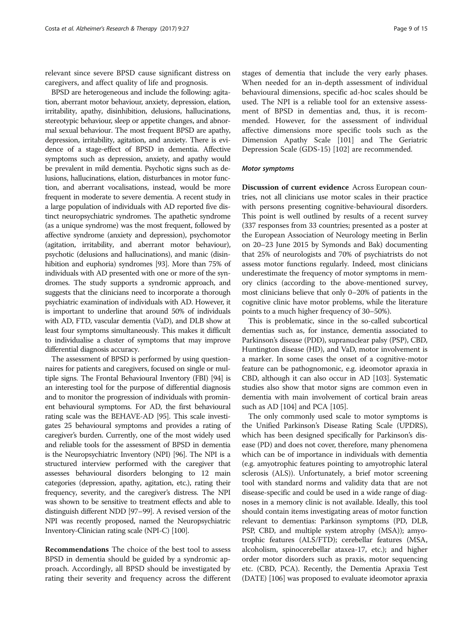relevant since severe BPSD cause significant distress on caregivers, and affect quality of life and prognosis.

BPSD are heterogeneous and include the following: agitation, aberrant motor behaviour, anxiety, depression, elation, irritability, apathy, disinhibition, delusions, hallucinations, stereotypic behaviour, sleep or appetite changes, and abnormal sexual behaviour. The most frequent BPSD are apathy, depression, irritability, agitation, and anxiety. There is evidence of a stage-effect of BPSD in dementia. Affective symptoms such as depression, anxiety, and apathy would be prevalent in mild dementia. Psychotic signs such as delusions, hallucinations, elation, disturbances in motor function, and aberrant vocalisations, instead, would be more frequent in moderate to severe dementia. A recent study in a large population of individuals with AD reported five distinct neuropsychiatric syndromes. The apathetic syndrome (as a unique syndrome) was the most frequent, followed by affective syndrome (anxiety and depression), psychomotor (agitation, irritability, and aberrant motor behaviour), psychotic (delusions and hallucinations), and manic (disinhibition and euphoria) syndromes [[93](#page-14-0)]. More than 75% of individuals with AD presented with one or more of the syndromes. The study supports a syndromic approach, and suggests that the clinicians need to incorporate a thorough psychiatric examination of individuals with AD. However, it is important to underline that around 50% of individuals with AD, FTD, vascular dementia (VaD), and DLB show at least four symptoms simultaneously. This makes it difficult to individualise a cluster of symptoms that may improve differential diagnosis accuracy.

The assessment of BPSD is performed by using questionnaires for patients and caregivers, focused on single or multiple signs. The Frontal Behavioural Inventory (FBI) [[94](#page-14-0)] is an interesting tool for the purpose of differential diagnosis and to monitor the progression of individuals with prominent behavioural symptoms. For AD, the first behavioural rating scale was the BEHAVE-AD [\[95\]](#page-14-0). This scale investigates 25 behavioural symptoms and provides a rating of caregiver's burden. Currently, one of the most widely used and reliable tools for the assessment of BPSD in dementia is the Neuropsychiatric Inventory (NPI) [\[96](#page-14-0)]. The NPI is a structured interview performed with the caregiver that assesses behavioural disorders belonging to 12 main categories (depression, apathy, agitation, etc.), rating their frequency, severity, and the caregiver's distress. The NPI was shown to be sensitive to treatment effects and able to distinguish different NDD [[97](#page-14-0)–[99](#page-14-0)]. A revised version of the NPI was recently proposed, named the Neuropsychiatric Inventory-Clinician rating scale (NPI-C) [\[100](#page-14-0)].

Recommendations The choice of the best tool to assess BPSD in dementia should be guided by a syndromic approach. Accordingly, all BPSD should be investigated by rating their severity and frequency across the different stages of dementia that include the very early phases. When needed for an in-depth assessment of individual behavioural dimensions, specific ad-hoc scales should be used. The NPI is a reliable tool for an extensive assessment of BPSD in dementias and, thus, it is recommended. However, for the assessment of individual affective dimensions more specific tools such as the Dimension Apathy Scale [\[101\]](#page-14-0) and The Geriatric Depression Scale (GDS-15) [[102](#page-14-0)] are recommended.

#### Motor symptoms

Discussion of current evidence Across European countries, not all clinicians use motor scales in their practice with persons presenting cognitive-behavioural disorders. This point is well outlined by results of a recent survey (337 responses from 33 countries; presented as a poster at the European Association of Neurology meeting in Berlin on 20–23 June 2015 by Symonds and Bak) documenting that 25% of neurologists and 70% of psychiatrists do not assess motor functions regularly. Indeed, most clinicians underestimate the frequency of motor symptoms in memory clinics (according to the above-mentioned survey, most clinicians believe that only 0–20% of patients in the cognitive clinic have motor problems, while the literature points to a much higher frequency of 30–50%).

This is problematic, since in the so-called subcortical dementias such as, for instance, dementia associated to Parkinson's disease (PDD), supranuclear palsy (PSP), CBD, Huntington disease (HD), and VaD, motor involvement is a marker. In some cases the onset of a cognitive-motor feature can be pathognomonic, e.g. ideomotor apraxia in CBD, although it can also occur in AD [[103](#page-14-0)]. Systematic studies also show that motor signs are common even in dementia with main involvement of cortical brain areas such as AD [\[104\]](#page-14-0) and PCA [[105](#page-14-0)].

The only commonly used scale to motor symptoms is the Unified Parkinson's Disease Rating Scale (UPDRS), which has been designed specifically for Parkinson's disease (PD) and does not cover, therefore, many phenomena which can be of importance in individuals with dementia (e.g. amyotrophic features pointing to amyotrophic lateral sclerosis (ALS)). Unfortunately, a brief motor screening tool with standard norms and validity data that are not disease-specific and could be used in a wide range of diagnoses in a memory clinic is not available. Ideally, this tool should contain items investigating areas of motor function relevant to dementias: Parkinson symptoms (PD, DLB, PSP, CBD, and multiple system atrophy (MSA)); amyotrophic features (ALS/FTD); cerebellar features (MSA, alcoholism, spinocerebellar ataxea-17, etc.); and higher order motor disorders such as praxis, motor sequencing etc. (CBD, PCA). Recently, the Dementia Apraxia Test (DATE) [[106](#page-14-0)] was proposed to evaluate ideomotor apraxia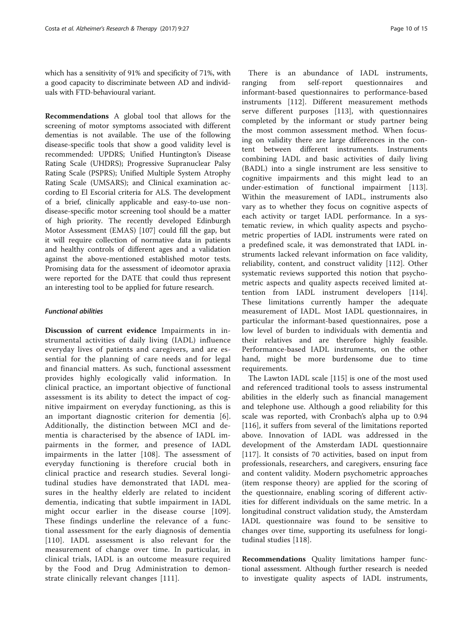which has a sensitivity of 91% and specificity of 71%, with a good capacity to discriminate between AD and individuals with FTD-behavioural variant.

Recommendations A global tool that allows for the screening of motor symptoms associated with different dementias is not available. The use of the following disease-specific tools that show a good validity level is recommended: UPDRS; Unified Huntington's Disease Rating Scale (UHDRS); Progressive Supranuclear Palsy Rating Scale (PSPRS); Unified Multiple System Atrophy Rating Scale (UMSARS); and Clinical examination according to El Escorial criteria for ALS. The development of a brief, clinically applicable and easy-to-use nondisease-specific motor screening tool should be a matter of high priority. The recently developed Edinburgh Motor Assessment (EMAS) [\[107\]](#page-14-0) could fill the gap, but it will require collection of normative data in patients and healthy controls of different ages and a validation against the above-mentioned established motor tests. Promising data for the assessment of ideomotor apraxia were reported for the DATE that could thus represent an interesting tool to be applied for future research.

# Functional abilities

Discussion of current evidence Impairments in instrumental activities of daily living (IADL) influence everyday lives of patients and caregivers, and are essential for the planning of care needs and for legal and financial matters. As such, functional assessment provides highly ecologically valid information. In clinical practice, an important objective of functional assessment is its ability to detect the impact of cognitive impairment on everyday functioning, as this is an important diagnostic criterion for dementia [[6](#page-12-0)]. Additionally, the distinction between MCI and dementia is characterised by the absence of IADL impairments in the former, and presence of IADL impairments in the latter [[108\]](#page-14-0). The assessment of everyday functioning is therefore crucial both in clinical practice and research studies. Several longitudinal studies have demonstrated that IADL measures in the healthy elderly are related to incident dementia, indicating that subtle impairment in IADL might occur earlier in the disease course [[109](#page-14-0)]. These findings underline the relevance of a functional assessment for the early diagnosis of dementia [[110](#page-14-0)]. IADL assessment is also relevant for the measurement of change over time. In particular, in clinical trials, IADL is an outcome measure required by the Food and Drug Administration to demonstrate clinically relevant changes [[111](#page-14-0)].

There is an abundance of IADL instruments, ranging from self-report questionnaires and informant-based questionnaires to performance-based instruments [[112\]](#page-14-0). Different measurement methods serve different purposes [[113](#page-14-0)], with questionnaires completed by the informant or study partner being the most common assessment method. When focusing on validity there are large differences in the content between different instruments. Instruments combining IADL and basic activities of daily living (BADL) into a single instrument are less sensitive to cognitive impairments and this might lead to an under-estimation of functional impairment [\[113](#page-14-0)]. Within the measurement of IADL, instruments also vary as to whether they focus on cognitive aspects of each activity or target IADL performance. In a systematic review, in which quality aspects and psychometric properties of IADL instruments were rated on a predefined scale, it was demonstrated that IADL instruments lacked relevant information on face validity, reliability, content, and construct validity [\[112](#page-14-0)]. Other systematic reviews supported this notion that psychometric aspects and quality aspects received limited attention from IADL instrument developers [\[114](#page-14-0)]. These limitations currently hamper the adequate measurement of IADL. Most IADL questionnaires, in particular the informant-based questionnaires, pose a low level of burden to individuals with dementia and their relatives and are therefore highly feasible. Performance-based IADL instruments, on the other hand, might be more burdensome due to time requirements.

The Lawton IADL scale [\[115](#page-14-0)] is one of the most used and referenced traditional tools to assess instrumental abilities in the elderly such as financial management and telephone use. Although a good reliability for this scale was reported, with Cronbach's alpha up to 0.94 [[116\]](#page-14-0), it suffers from several of the limitations reported above. Innovation of IADL was addressed in the development of the Amsterdam IADL questionnaire [[117\]](#page-14-0). It consists of 70 activities, based on input from professionals, researchers, and caregivers, ensuring face and content validity. Modern psychometric approaches (item response theory) are applied for the scoring of the questionnaire, enabling scoring of different activities for different individuals on the same metric. In a longitudinal construct validation study, the Amsterdam IADL questionnaire was found to be sensitive to changes over time, supporting its usefulness for longitudinal studies [[118\]](#page-14-0).

Recommendations Quality limitations hamper functional assessment. Although further research is needed to investigate quality aspects of IADL instruments,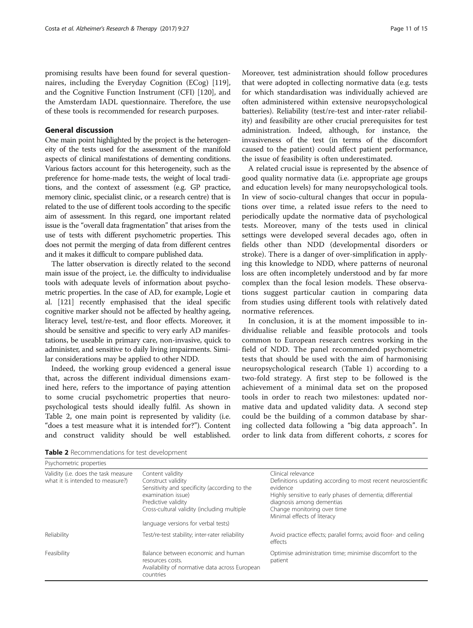promising results have been found for several questionnaires, including the Everyday Cognition (ECog) [\[119](#page-14-0)], and the Cognitive Function Instrument (CFI) [[120\]](#page-14-0), and the Amsterdam IADL questionnaire. Therefore, the use of these tools is recommended for research purposes.

# General discussion

One main point highlighted by the project is the heterogeneity of the tests used for the assessment of the manifold aspects of clinical manifestations of dementing conditions. Various factors account for this heterogeneity, such as the preference for home-made tests, the weight of local traditions, and the context of assessment (e.g. GP practice, memory clinic, specialist clinic, or a research centre) that is related to the use of different tools according to the specific aim of assessment. In this regard, one important related issue is the "overall data fragmentation" that arises from the use of tests with different psychometric properties. This does not permit the merging of data from different centres and it makes it difficult to compare published data.

The latter observation is directly related to the second main issue of the project, i.e. the difficulty to individualise tools with adequate levels of information about psychometric properties. In the case of AD, for example, Logie et al. [[121](#page-14-0)] recently emphasised that the ideal specific cognitive marker should not be affected by healthy ageing, literacy level, test/re-test, and floor effects. Moreover, it should be sensitive and specific to very early AD manifestations, be useable in primary care, non-invasive, quick to administer, and sensitive to daily living impairments. Similar considerations may be applied to other NDD.

Indeed, the working group evidenced a general issue that, across the different individual dimensions examined here, refers to the importance of paying attention to some crucial psychometric properties that neuropsychological tests should ideally fulfil. As shown in Table 2, one main point is represented by validity (i.e. "does a test measure what it is intended for?"). Content and construct validity should be well established. Moreover, test administration should follow procedures that were adopted in collecting normative data (e.g. tests for which standardisation was individually achieved are often administered within extensive neuropsychological batteries). Reliability (test/re-test and inter-rater reliability) and feasibility are other crucial prerequisites for test administration. Indeed, although, for instance, the invasiveness of the test (in terms of the discomfort caused to the patient) could affect patient performance, the issue of feasibility is often underestimated.

A related crucial issue is represented by the absence of good quality normative data (i.e. appropriate age groups and education levels) for many neuropsychological tools. In view of socio-cultural changes that occur in populations over time, a related issue refers to the need to periodically update the normative data of psychological tests. Moreover, many of the tests used in clinical settings were developed several decades ago, often in fields other than NDD (developmental disorders or stroke). There is a danger of over-simplification in applying this knowledge to NDD, where patterns of neuronal loss are often incompletely understood and by far more complex than the focal lesion models. These observations suggest particular caution in comparing data from studies using different tools with relatively dated normative references.

In conclusion, it is at the moment impossible to individualise reliable and feasible protocols and tools common to European research centres working in the field of NDD. The panel recommended psychometric tests that should be used with the aim of harmonising neuropsychological research (Table [1](#page-4-0)) according to a two-fold strategy. A first step to be followed is the achievement of a minimal data set on the proposed tools in order to reach two milestones: updated normative data and updated validity data. A second step could be the building of a common database by sharing collected data following a "big data approach". In order to link data from different cohorts, z scores for

Table 2 Recommendations for test development

| Psychometric properties                                                  |                                                                                                                                                                                                                            |                                                                                                                                                                                                                                                          |
|--------------------------------------------------------------------------|----------------------------------------------------------------------------------------------------------------------------------------------------------------------------------------------------------------------------|----------------------------------------------------------------------------------------------------------------------------------------------------------------------------------------------------------------------------------------------------------|
| Validity (i.e. does the task measure<br>what it is intended to measure?) | Content validity<br>Construct validity<br>Sensitivity and specificity (according to the<br>examination issue)<br>Predictive validity<br>Cross-cultural validity (including multiple<br>language versions for verbal tests) | Clinical relevance<br>Definitions updating according to most recent neuroscientific<br>evidence<br>Highly sensitive to early phases of dementia; differential<br>diagnosis among dementias<br>Change monitoring over time<br>Minimal effects of literacy |
| Reliability                                                              | Test/re-test stability; inter-rater reliability                                                                                                                                                                            | Avoid practice effects; parallel forms; avoid floor- and ceiling<br>effects                                                                                                                                                                              |
| Feasibility                                                              | Balance between economic and human<br>resources costs.<br>Availability of normative data across European<br>countries                                                                                                      | Optimise administration time; minimise discomfort to the<br>patient                                                                                                                                                                                      |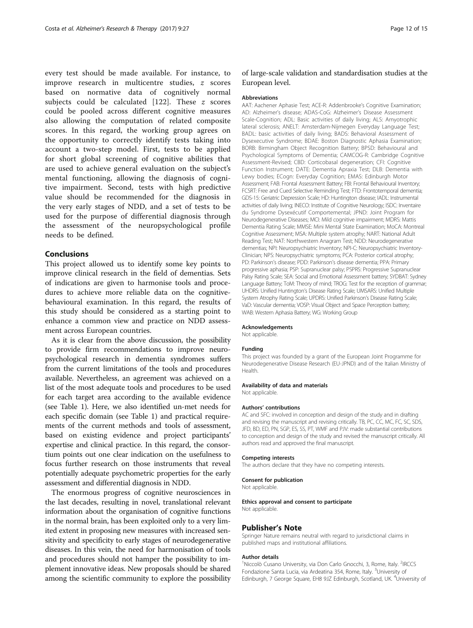every test should be made available. For instance, to improve research in multicentre studies, z scores based on normative data of cognitively normal subjects could be calculated  $[122]$  $[122]$ . These z scores could be pooled across different cognitive measures also allowing the computation of related composite scores. In this regard, the working group agrees on the opportunity to correctly identify tests taking into account a two-step model. First, tests to be applied for short global screening of cognitive abilities that are used to achieve general evaluation on the subject's mental functioning, allowing the diagnosis of cognitive impairment. Second, tests with high predictive value should be recommended for the diagnosis in the very early stages of NDD, and a set of tests to be used for the purpose of differential diagnosis through the assessment of the neuropsychological profile needs to be defined.

# Conclusions

This project allowed us to identify some key points to improve clinical research in the field of dementias. Sets of indications are given to harmonise tools and procedures to achieve more reliable data on the cognitivebehavioural examination. In this regard, the results of this study should be considered as a starting point to enhance a common view and practice on NDD assessment across European countries.

As it is clear from the above discussion, the possibility to provide firm recommendations to improve neuropsychological research in dementia syndromes suffers from the current limitations of the tools and procedures available. Nevertheless, an agreement was achieved on a list of the most adequate tools and procedures to be used for each target area according to the available evidence (see Table [1](#page-4-0)). Here, we also identified un-met needs for each specific domain (see Table [1](#page-4-0)) and practical requirements of the current methods and tools of assessment, based on existing evidence and project participants' expertise and clinical practice. In this regard, the consortium points out one clear indication on the usefulness to focus further research on those instruments that reveal potentially adequate psychometric properties for the early assessment and differential diagnosis in NDD.

The enormous progress of cognitive neurosciences in the last decades, resulting in novel, translational relevant information about the organisation of cognitive functions in the normal brain, has been exploited only to a very limited extent in proposing new measures with increased sensitivity and specificity to early stages of neurodegenerative diseases. In this vein, the need for harmonisation of tools and procedures should not hamper the possibility to implement innovative ideas. New proposals should be shared among the scientific community to explore the possibility

# of large-scale validation and standardisation studies at the European level.

#### Abbreviations

AAT: Aachener Aphasie Test; ACE-R: Addenbrooke's Cognitive Examination; AD: Alzheimer's disease; ADAS-CoG: Alzheimer's Disease Assessment Scale-Cognition; ADL: Basic activities of daily living; ALS: Amyotrophic lateral sclerosis; ANELT: Amsterdam-Nijmegen Everyday Language Test; BADL: basic activities of daily living; BADS: Behavioral Assessment of Dysexecutive Syndrome; BDAE: Boston Diagnostic Aphasia Examination; BORB: Birmingham Object Recognition Battery; BPSD: Behavioural and Psychological Symptoms of Dementia; CAMCOG-R: Cambridge Cognitive Assessment-Revised; CBD: Corticobasal degeneration; CFI: Cognitive Function Instrument; DATE: Dementia Apraxia Test; DLB: Dementia with Lewy bodies; ECogn: Everyday Cognition; EMAS: Edinburgh Motor Assessment; FAB: Frontal Assessment Battery; FBI: Frontal Behavioural Inventory; FCSRT: Free and Cued Selective Reminding Test; FTD: Frontotemporal dementia; GDS-15: Geriatric Depression Scale; HD: Huntington disease; IADL: Instrumental activities of daily living; INECO: Institute of Cognitive Neurology; ISDC: Inventaire du Syndrome Dysexécutif Comportemental; JPND: Joint Program for Neurodegenerative Diseases; MCI: Mild cognitive impairment; MDRS: Mattis Dementia Rating Scale; MMSE: Mini Mental State Examination; MoCA: Montreal Cognitive Assessment; MSA: Multiple system atrophy; NART: National Adult Reading Test; NAT: Northwestern Anagram Test; NDD: Neurodegenerative dementias; NPI: Neuropsychiatric Inventory; NPI-C: Neuropsychiatric Inventory-Clinician; NPS: Neuropsychiatric symptoms; PCA: Posterior cortical atrophy; PD: Parkinson's disease; PDD: Parkinson's disease dementia; PPA: Primary progressive aphasia; PSP: Supranuclear palsy; PSPRS: Progressive Supranuclear Palsy Rating Scale; SEA: Social and Emotional Assessment battery; SYDBAT: Sydney Language Battery; ToM: Theory of mind; TROG: Test for the reception of grammar; UHDRS: Unified Huntington's Disease Rating Scale; UMSARS: Unified Multiple System Atrophy Rating Scale; UPDRS: Unified Parkinson's Disease Rating Scale; VaD: Vascular dementia; VOSP: Visual Object and Space Perception battery; WAB: Western Aphasia Battery; WG: Working Group

#### **Acknowledgements**

Not applicable.

#### Funding

This project was founded by a grant of the European Joint Programme for Neurodegenerative Disease Research (EU-JPND) and of the Italian Ministry of Health.

#### Availability of data and materials

Not applicable.

#### Authors' contributions

AC and SFC: involved in conception and design of the study and in drafting and revising the manuscript and revising critically. TB, PC, CC, MC, FC, SC, SDS, JFD, BD, ED, PN, SGP, ES, SS, PT, WMF and PJV: made substantial contributions to conception and design of the study and revised the manuscript critically. All authors read and approved the final manuscript.

#### Competing interests

The authors declare that they have no competing interests.

#### Consent for publication

Not applicable.

#### Ethics approval and consent to participate

Not applicable.

#### Publisher's Note

Springer Nature remains neutral with regard to jurisdictional claims in published maps and institutional affiliations.

#### Author details

<sup>1</sup>Niccolò Cusano University, via Don Carlo Gnocchi, 3, Rome, Italy. <sup>2</sup>IRCCS Fondazione Santa Lucia, via Ardeatina 354, Rome, Italy. <sup>3</sup>University of Edinburgh, 7 George Square, EH8 9JZ Edinburgh, Scotland, UK. <sup>4</sup>University of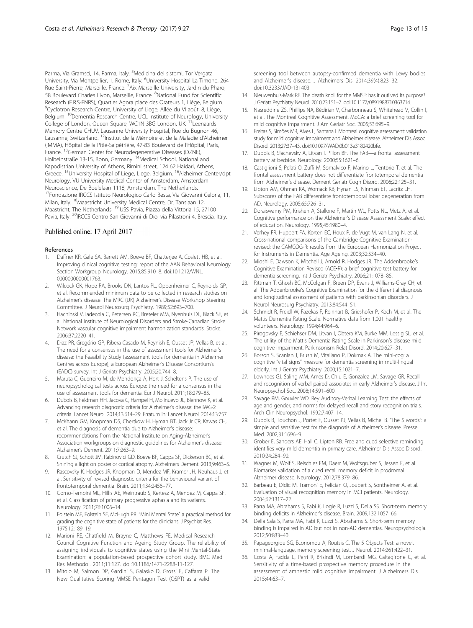<span id="page-12-0"></span>Parma, Via Gramsci, 14, Parma, Italy. <sup>5</sup>Medicina dei sistemi, Tor Vergata University, Via Montpellier, 1, Rome, Italy. <sup>6</sup>University Hospital La Timone, 264 Rue Saint-Pierre, Marseille, France. <sup>7</sup>Aix Marseille University, Jardin du Pharo, 58 Boulevard Charles Livon, Marseille, France. <sup>8</sup>National Fund for Scientific Research (F.R.S-FNRS), Quartier Agora place des Orateurs 1, Liège, Belgium. <sup>9</sup>Cyclotron Research Centre, University of Liege, Allée du VI août, 8, Liège, Belgium. <sup>10</sup>Dementia Research Centre, UCL Institute of Neurology, University College of London, Queen Square, WC1N 3BG London, UK. <sup>11</sup>Leenaards Memory Centre CHUV, Lausanne University Hospital, Rue du Bugnon 46, Lausanne, Switzerland. <sup>12</sup>Institut de la Mémoire et de la Maladie d'Alzheimer (IMMA), Hôpital de la Pitié-Salpêtrière, 47-83 Boulevard de l'Hôpital, Paris, France. <sup>13</sup>German Center for Neurodegenerative Diseases (DZNE), Holbeinstraße 13-15, Bonn, Germany. <sup>14</sup>Medical School, National and Kapodistrian University of Athens, Rimini street, 124 62 Haidari, Athens, Greece. 15University Hospital of Liege, Liege, Belgium. 16Alzheimer Center/dpt Neurology, VU University Medical Center of Amsterdam, Amsterdam Neuroscience, De Boelelaan 1118, Amsterdam, The Netherlands. 17Fondazione IRCCS Istituto Neurologico Carlo Besta, Via Giovanni Celoria, 11, Milan, Italy. 18Maastricht University Medical Centre, Dr. Tanslaan 12, Maastricht, The Netherlands. <sup>19</sup>IUSS Pavia, Piazza della Vittoria 15, 27100 Pavia, Italy. <sup>20</sup>IRCCS Centro San Giovanni di Dio, via Pilastroni 4, Brescia, Italy.

# Published online: 17 April 2017

#### References

- 1. Daffner KR, Gale SA, Barrett AM, Boeve BF, Chatterjee A, Coslett HB, et al. Improving clinical cognitive testing: report of the AAN Behavioral Neurology Section Workgroup. Neurology. 2015;85:910–8. doi:[10.1212/WNL.](http://dx.doi.org/10.1212/WNL.0000000000001763) [0000000000001763](http://dx.doi.org/10.1212/WNL.0000000000001763).
- 2. Wilcock GK, Hope RA, Brooks DN, Lantos PL, Oppenheimer C, Reynolds GP, et al. Recommended minimum data to be collected in research studies on Alzheimer's disease. The MRC (UK) Alzheimer's Disease Workshop Steering Committee. J Neurol Neurosurg Psychiatry. 1989;52:693–700.
- 3. Hachinski V, Iadecola C, Petersen RC, Breteler MM, Nyenhuis DL, Black SE, et al. National Institute of Neurological Disorders and Stroke-Canadian Stroke Network vascular cognitive impairment harmonization standards. Stroke. 2006;37:2220–41.
- Diaz PR, Gregório GP, Ribera Casado M, Reynish E, Ousset JP, Vellas B, et al. The need for a consensus in the use of assessment tools for Alzheimer's disease: the Feasibility Study (assessment tools for dementia in Alzheimer Centres across Europe), a European Alzheimer's Disease Consortium's (EADC) survey. Int J Geriatr Psychiatry. 2005;20:744–8.
- 5. Maruta C, Guerreiro M, de Mendonça A, Hort J, Scheltens P. The use of neuropsychological tests across Europe: the need for a consensus in the use of assessment tools for dementia. Eur J Neurol. 2011;18:279–85.
- 6. Dubois B, Feldman HH, Jacova C, Hampel H, Molinuevo JL, Blennow K, et al. Advancing research diagnostic criteria for Alzheimer's disease: the IWG-2 criteria. Lancet Neurol. 2014;13:614–29. Erratum in: Lancet Neurol. 2014;13:757.
- 7. McKhann GM, Knopman DS, Chertkow H, Hyman BT, Jack Jr CR, Kawas CH, et al. The diagnosis of dementia due to Alzheimer's disease: recommendations from the National Institute on Aging-Alzheimer's Association workgroups on diagnostic guidelines for Alzheimer's disease. Alzheimer's Dement. 2011;7:263–9.
- 8. Crutch SJ, Schott JM, Rabinovici GD, Boeve BF, Cappa SF, Dickerson BC, et al. Shining a light on posterior cortical atrophy. Alzheimers Dement. 2013;9:463–5.
- Rascovsky K, Hodges JR, Knopman D, Mendez MF, Kramer JH, Neuhaus J, et al. Sensitivity of revised diagnostic criteria for the behavioural variant of frontotemporal dementia. Brain. 2011;134:2456–77.
- 10. Gorno-Tempini ML, Hillis AE, Weintraub S, Kertesz A, Mendez M, Cappa SF, et al. Classification of primary progressive aphasia and its variants. Neurology. 2011;76:1006–14.
- 11. Folstein MF, Folstein SE, McHugh PR. "Mini Mental State" a practical method for grading the cognitive state of patients for the clinicians. J Psychiat Res. 1975;12:189–19.
- 12. Marioni RE, Chatfield M, Brayne C, Matthews FE, Medical Research Council Cognitive Function and Ageing Study Group. The reliability of assigning individuals to cognitive states using the Mini Mental-State Examination: a population-based prospective cohort study. BMC Med Res Methodol. 2011;11:127. doi:[10.1186/1471-2288-11-127.](http://dx.doi.org/10.1186/1471-2288-11-127)
- 13. Mitolo M, Salmon DP, Gardini S, Galasko D, Grossi E, Caffarra P. The New Qualitative Scoring MMSE Pentagon Test (QSPT) as a valid

screening tool between autopsy-confirmed dementia with Lewy bodies and Alzheimer's disease. J Alzheimers Dis. 2014;39(4):823–32. doi[:10.3233/JAD-131403.](http://dx.doi.org/10.3233/JAD-131403)

- 14. Nieuwenhuis-Mark RE. The death knoll for the MMSE: has it outlived its purpose? J Geriatr Psychiatry Neurol. 2010;23:151–7. doi[:10.1177/0891988710363714](http://dx.doi.org/10.1177/0891988710363714).
- 15. Nasreddine ZS, Phillips NA, Bédirian V, Charbonneau S, Whitehead V, Collin I, et al. The Montreal Cognitive Assessment, MoCA: a brief screening tool for mild cognitive impairment. J Am Geriatr Soc. 2005;53:695–9.
- 16. Freitas S, Simões MR, Alves L, Santana I. Montreal cognitive assessment: validation study for mild cognitive impairment and Alzheimer disease. Alzheimer Dis Assoc Disord. 2013;27:37–43. doi[:10.1097/WAD.0b013e3182420bfe](http://dx.doi.org/10.1097/WAD.0b013e3182420bfe).
- 17. Dubois B, Slachevsky A, Litvan I, Pillon BF. The FAB—a frontal assessment battery at bedside. Neurology. 2000;55:1621–6.
- 18. Castiglioni S, Pelati O, Zuffi M, Somalvico F, Marino L, Tentorio T, et al. The frontal assessment battery does not differentiate frontotemporal dementia from Alzheimer's disease. Dement Geriatr Cogn Disord. 2006;22:125–31.
- 19. Lipton AM, Ohman KA, Womack KB, Hynan LS, Ninman ET, Lacritz LH. Subscores of the FAB differentiate frontotemporal lobar degeneration from AD. Neurology. 2005;65:726–31.
- 20. Doraiswamy PM, Krishen A, Stallone F, Martin WL, Potts NL, Metz A, et al. Cognitive performance on the Alzheimer's Disease Assessment Scale: effect of education. Neurology. 1995;45:1980–4.
- 21. Verhey FR, Huppert FA, Korten EC, Houx P, de Vugt M, van Lang N, et al. Cross-national comparisons of the Cambridge Cognitive Examinationrevised: the CAMCOG-R: results from the European Harmonization Project for Instruments in Dementia. Age Ageing. 2003;32:534–40.
- 22. Mioshi E, Dawson K, Mitchell J, Arnold R, Hodges JR. The Addenbrooke's Cognitive Examination Revised (ACE‐R): a brief cognitive test battery for dementia screening. Int J Geriatr Psychiatry. 2006;21:1078–85.
- 23. Rittman T, Ghosh BC, McColgan P, Breen DP, Evans J, Williams-Gray CH, et al. The Addenbrooke's Cognitive Examination for the differential diagnosis and longitudinal assessment of patients with parkinsonian disorders. J Neurol Neurosurg Psychiatry. 2013;84:544–51.
- 24. Schmidt R, Freidl W, Fazekas F, Reinhart B, Grieshofer P, Koch M, et al. The Mattis Dementia Rating Scale. Normative data from 1,001 healthy volunteers. Neurology. 1994;44:964–6.
- 25. Pirogovsky E, Schiehser DM, Litvan I, Obtera KM, Burke MM, Lessig SL, et al. The utility of the Mattis Dementia Rating Scale in Parkinson's disease mild cognitive impairment. Parkinsonism Relat Disord. 2014;20:627–31.
- 26. Borson S, Scanlan J, Brush M, Vitaliano P, Dokmak A. The mini-cog: a cognitive "vital signs" measure for dementia screening in multi-lingual elderly. Int J Geriatr Psychiatry. 2000;15:1021–7.
- 27. Lowndes GJ, Saling MM, Ames D, Chiu E, Gonzalez LM, Savage GR. Recall and recognition of verbal paired associates in early Alzheimer's disease. J Int Neuropsychol Soc. 2008;14:591–600.
- 28. Savage RM, Gouvier WD. Rey Auditory-Verbal Learning Test: the effects of age and gender, and norms for delayed recall and story recognition trials. Arch Clin Neuropsychol. 1992;7:407–14.
- 29. Dubois B, Touchon J, Portet F, Ousset PJ, Vellas B, Michel B. "The 5 words": a simple and sensitive test for the diagnosis of Alzheimer's disease. Presse Med. 2002;31:1696–9.
- 30. Grober E, Sanders AE, Hall C, Lipton RB. Free and cued selective reminding identifies very mild dementia in primary care. Alzheimer Dis Assoc Disord. 2010;24:284–90.
- 31. Wagner M, Wolf S, Reischies FM, Daerr M, Wolfsgruber S, Jessen F, et al. Biomarker validation of a cued recall memory deficit in prodromal Alzheimer disease. Neurology. 2012;78:379–86.
- 32. Barbeau E, Didic M, Tramoni E, Felician O, Joubert S, Sontheimer A, et al. Evaluation of visual recognition memory in MCI patients. Neurology. 2004;62:1317–22.
- 33. Parra MA, Abrahams S, Fabi K, Logie R, Luzzi S, Della SS. Short-term memory binding deficits in Alzheimer's disease. Brain. 2009;132:1057–66.
- 34. Della Sala S, Parra MA, Fabi K, Luzzi S, Abrahams S. Short-term memory binding is impaired in AD but not in non-AD dementias. Neuropsychologia. 2012;50:833–40.
- 35. Papageorgiou SG, Economou A, Routsis C. The 5 Objects Test: a novel, minimal-language, memory screening test. J Neurol. 2014;261:422–31.
- 36. Costa A, Fadda L, Perri R, Brisindi M, Lombardi MG, Caltagirone C, et al. Sensitivity of a time-based prospective memory procedure in the assessment of amnestic mild cognitive impairment. J Alzheimers Dis. 2015;44:63–7.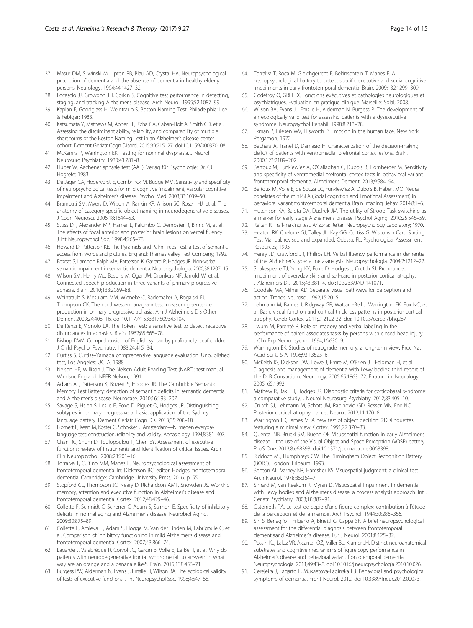- <span id="page-13-0"></span>37. Masur DM, Sliwinski M, Lipton RB, Blau AD, Crystal HA. Neuropsychological prediction of dementia and the absence of dementia in healthy elderly persons. Neurology. 1994;44:1427–32.
- 38. Locascio JJ, Growdon JH, Corkin S. Cognitive test performance in detecting, staging, and tracking Alzheimer's disease. Arch Neurol. 1995;52:1087–99.
- 39. Kaplan E, Goodglass H, Weintraub S. Boston Naming Test. Philadelphia: Lee & Febiger; 1983.
- 40. Katsumata Y, Mathews M, Abner EL, Jicha GA, Caban-Holt A, Smith CD, et al. Assessing the discriminant ability, reliability, and comparability of multiple short forms of the Boston Naming Test in an Alzheimer's disease center cohort. Dement Geriatr Cogn Disord. 2015;39:215–27. doi:[10.1159/000370108.](http://dx.doi.org/10.1159/000370108)
- 41. McKenna P, Warrington EK. Testing for nominal dysphasia. J Neurol Neurosurg Psychiatry. 1980;43:781–8.
- 42. Huber W. Aachener aphasie test (AAT). Verlag für Psychologie: Dr. CJ Hogrefe: 1983
- 43. De Jager CA, Hogervorst E, Combrinck M, Budge MM. Sensitivity and specificity of neuropsychological tests for mild cognitive impairment, vascular cognitive impairment and Alzheimer's disease. Psychol Med. 2003;33:1039–50.
- 44. Brambati SM, Myers D, Wilson A, Rankin KP, Allison SC, Rosen HJ, et al. The anatomy of category-specific object naming in neurodegenerative diseases. J Cogn Neurosci. 2006;18:1644–53.
- 45. Stuss DT, Alexander MP, Hamer L, Palumbo C, Dempster R, Binns M, et al. The effects of focal anterior and posterior brain lesions on verbal fluency. J Int Neuropsychol Soc. 1998;4:265–78.
- Howard D, Patterson KE. The Pyramids and Palm Trees Test: a test of semantic access from words and pictures. England: Thames Valley Test Company; 1992.
- 47. Bozeat S, Lambon Ralph MA, Patterson K, Garrard P, Hodges JR. Non-verbal semantic impairment in semantic dementia. Neuropsychologia. 2000;38:1207–15.
- 48. Wilson SM, Henry ML, Besbris M, Ogar JM, Dronkers NF, Jarrold W, et al. Connected speech production in three variants of primary progressive aphasia. Brain. 2010;133:2069–88.
- 49. Weintraub S, Mesulam MM, Wieneke C, Rademaker A, Rogalski EJ, Thompson CK. The northwestern anagram test: measuring sentence production in primary progressive aphasia. Am J Alzheimers Dis Other Demen. 2009;24:408–16. doi[:10.1177/1533317509343104.](http://dx.doi.org/10.1177/1533317509343104)
- 50. De Renzi E, Vignolo LA. The Token Test: a sensitive test to detect receptive disturbances in aphasics. Brain. 1962;85:665–78.
- 51. Bishop DVM. Comprehension of English syntax by profoundly deaf children. J Child Psychol Psychiatry. 1983;24:415–34.
- 52. Curtiss S. Curtiss–Yamada comprehensive language evaluation. Unpublished test, Los Angeles: UCLA; 1988.
- 53. Nelson HE, Willison J. The Nelson Adult Reading Test (NART): test manual. Windsor, England: NFER Nelson; 1991.
- 54. Adlam AL, Patterson K, Bozeat S, Hodges JR. The Cambridge Semantic Memory Test Battery: detection of semantic deficits in semantic dementia and Alzheimer's disease. Neurocase. 2010;16:193–207.
- 55. Savage S, Hsieh S, Leslie F, Foxe D, Piguet O, Hodges JR. Distinguishing subtypes in primary progressive aphasia: application of the Sydney language battery. Dement Geriatr Cogn Dis. 2013;35:208–18.
- 56. Blomert L, Kean M, Koster C, Schokker J. Amsterdam—Nijmegen everyday language test: construction, reliability and validity. Aphasiology. 1994;8:381–407.
- 57. Chan RC, Shum D, Toulopoulou T, Chen EY. Assessment of executive functions: review of instruments and identification of critical issues. Arch Clin Neuropsychol. 2008;23:201–16.
- 58. Torralva T, Cuitino MM, Manes F. Neuropsychological assessment of frontotemporal dementia. In: Dickerson BC, editor. Hodges' frontotemporal dementia. Cambridge: Cambridge University Press; 2016. p. 55.
- 59. Stopford CL, Thompson JC, Neary D, Richardson AMT, Snowden JS. Working memory, attention and executive function in Alzheimer's disease and frontotemporal dementia. Cortex. 2012;48:429–46.
- 60. Collette F, Schmidt C, Scherrer C, Adam S, Salmon E. Specificity of inhibitory deficits in normal aging and Alzheimer's disease. Neurobiol Aging. 2009;30:875–89.
- 61. Collette F, Amieva H, Adam S, Hogge M, Van der Linden M, Fabrigoule C, et al. Comparison of inhibitory functioning in mild Alzheimer's disease and frontotemporal dementia. Cortex. 2007;43:866–74.
- 62. Lagarde J, Valabrègue R, Corvol JC, Garcin B, Volle E, Le Ber I, et al. Why do patients with neurodegenerative frontal syndrome fail to answer: 'in what way are an orange and a banana alike?'. Brain. 2015;138:456–71.
- 63. Burgess PW, Alderman N, Evans J, Emslie H, Wilson BA. The ecological validity of tests of executive functions. J Int Neuropsychol Soc. 1998;4:547–58.
- 64. Torralva T, Roca M, Gleichgerrcht E, Bekinschtein T, Manes F. A neuropsychological battery to detect specific executive and social cognitive impairments in early frontotemporal dementia. Brain. 2009;132:1299–309.
- 65. Godefroy O, GREFEX. Fonctions exécutives et pathologies neurologiques et psychiatriques. Evaluation en pratique clinique. Marseille: Solal; 2008.
- 66. Wilson BA, Evans JJ, Emslie H, Alderman N, Burgess P. The development of an ecologically valid test for assessing patients with a dysexecutive syndrome. Neuropsychol Rehabil. 1998;8:213–28.
- 67. Ekman P, Friesen WV, Ellsworth P. Emotion in the human face. New York: Pergamon; 1972.
- 68. Bechara A, Tranel D, Damasio H. Characterization of the decision-making deficit of patients with ventromedial prefrontal cortex lesions. Brain. 2000;123:2189–202.
- 69. Bertoux M, Funkiewiez A, O'Callaghan C, Dubois B, Hornberger M. Sensitivity and specificity of ventromedial prefrontal cortex tests in behavioral variant frontotemporal dementia. Alzheimer's Dement. 2013;9:S84–94.
- 70. Bertoux M, Volle E, de Souza LC, Funkiewiez A, Dubois B, Habert MO. Neural correlates of the mini-SEA (Social cognition and Emotional Assessment) in behavioral variant frontotemporal dementia. Brain Imaging Behav. 2014;8:1–6.
- 71. Hutchison KA, Balota DA, Duchek JM. The utility of Stroop Task switching as a marker for early stage Alzheimer's disease. Psychol Aging. 2010;25:545–59.
- 72. Reitan R. Trail-making test. Arizona: Reitan Neuropsychology Laboratory; 1970.
- 73. Heaton RK, Chelune GJ, Talley JL, Kay GG, Curtiss G. Wisconsin Card Sorting Test Manual: revised and expanded. Odessa, FL: Psychological Assessment Resources; 1993.
- 74. Henry JD, Crawford JR, Phillips LH. Verbal fluency performance in dementia of the Alzheimer's type: a meta-analysis. Neuropsychologia. 2004;2:1212–22.
- 75. Shakespeare TJ, Yong KX, Foxe D, Hodges J, Crutch SJ. Pronounced impairment of everyday skills and self-care in posterior cortical atrophy. J Alzheimers Dis. 2015;43:381–4. doi[:10.3233/JAD-141071.](http://dx.doi.org/10.3233/JAD-141071)
- 76. Goodale MA, Milner AD. Separate visual pathways for perception and action. Trends Neurosci. 1992;15:20–5.
- 77. Lehmann M, Barnes J, Ridgway GR, Wattam-Bell J, Warrington EK, Fox NC, et al. Basic visual function and cortical thickness patterns in posterior cortical atrophy. Cereb Cortex. 2011;212122-32. doi: [10.1093/cercor/bhq287](http://dx.doi.org/10.1093/cercor/bhq287)
- 78. Twum M, Parenté R. Role of imagery and verbal labeling in the performance of paired associates tasks by persons with closed head injury. J Clin Exp Neuropsychol. 1994;16:630–9.
- 79. Warrington EK. Studies of retrograde memory: a long-term view. Proc Natl Acad Sci U S A. 1996;93:13523–6.
- 80. McKeith IG, Dickson DW, Lowe J, Emre M, O'Brien JT, Feldman H, et al. Diagnosis and management of dementia with Lewy bodies: third report of the DLB Consortium. Neurology. 2005;65:1863–72. Erratum in: Neurology. 2005; 65;1992.
- 81. Mathew R, Bak TH, Hodges JR. Diagnostic criteria for corticobasal syndrome: a comparative study. J Neurol Neurosurg Psychiatry. 2012;83:405–10.
- 82. Crutch SJ, Lehmann M, Schott JM, Rabinovici GD, Rossor MN, Fox NC. Posterior cortical atrophy. Lancet Neurol. 2012;11:170–8.
- 83. Warrington EK, James M. A new test of object decision: 2D silhouettes featuring a minimal view. Cortex. 1991;27:370–83.
- 84. Quental NB, Brucki SM, Bueno OF. Visuospatial function in early Alzheimer's disease—the use of the Visual Object and Space Perception (VOSP) battery. PLoS One. 2013;8:e68398. doi:[10.1371/journal.pone.0068398](http://dx.doi.org/10.1371/journal.pone.0068398).
- 85. Riddoch MJ, Humphreys GW. The Birmingham Object Recognition Battery (BORB). London: Erlbaum; 1993.
- 86. Benton AL, Varney NR, Hamsher KS. Visuospatial judgment: a clinical test. Arch Neurol. 1978;35:364–7.
- Simard M, van Reekum R, Myran D. Visuospatial impairment in dementia with Lewy bodies and Alzheimer's disease: a process analysis approach. Int J Geriatr Psychiatry. 2003;18:387–91.
- 88. Osterrieth PA. Le test de copie d'une figure complex: contribution à l'étude de la perception et de la memoir. Arch Psychol. 1944;30:286–356.
- 89. Siri S, Benaglio I, Frigerio A, Binetti G, Cappa SF. A brief neuropsychological assessment for the differential diagnosis between frontotemporal dementiaand Alzheimer's disease. Eur J Neurol. 2001;8:125–32.
- 90. Possin KL, Laluz VR, Alcantar OZ, Miller BL, Kramer JH. Distinct neuroanatomical substrates and cognitive mechanisms of figure copy performance in Alzheimer's disease and behavioral variant frontotemporal dementia. Neuropsychologia. 2011;49:43–8. doi[:10.1016/j.neuropsychologia.2010.10.026.](http://dx.doi.org/10.1016/j.neuropsychologia.2010.10.026)
- 91. Cerejeira J, Lagarto L, Mukaetova-Ladinska EB. Behavioral and psychological symptoms of dementia. Front Neurol. 2012. doi[:10.3389/fneur.2012.00073.](http://dx.doi.org/10.3389/fneur.2012.00073)